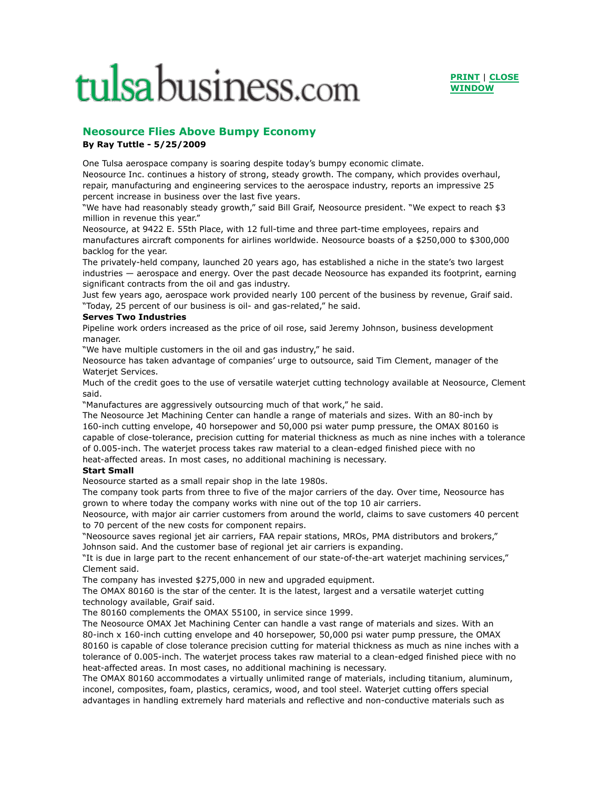## tulsabusiness.com



## **Neosource Flies Above Bumpy Economy By Ray Tuttle - 5/25/2009**

One Tulsa aerospace company is soaring despite today's bumpy economic climate. Neosource Inc. continues a history of strong, steady growth. The company, which provides overhaul, repair, manufacturing and engineering services to the aerospace industry, reports an impressive 25 percent increase in business over the last five years.

"We have had reasonably steady growth," said Bill Graif, Neosource president. "We expect to reach \$3 million in revenue this year."

Neosource, at 9422 E. 55th Place, with 12 full-time and three part-time employees, repairs and manufactures aircraft components for airlines worldwide. Neosource boasts of a \$250,000 to \$300,000 backlog for the year.

The privately-held company, launched 20 years ago, has established a niche in the state's two largest industries — aerospace and energy. Over the past decade Neosource has expanded its footprint, earning significant contracts from the oil and gas industry.

Just few years ago, aerospace work provided nearly 100 percent of the business by revenue, Graif said. "Today, 25 percent of our business is oil- and gas-related," he said.

## **Serves Two Industries**

Pipeline work orders increased as the price of oil rose, said Jeremy Johnson, business development manager.

"We have multiple customers in the oil and gas industry," he said.

Neosource has taken advantage of companies' urge to outsource, said Tim Clement, manager of the Waterjet Services.

Much of the credit goes to the use of versatile waterjet cutting technology available at Neosource, Clement said.

"Manufactures are aggressively outsourcing much of that work," he said.

The Neosource Jet Machining Center can handle a range of materials and sizes. With an 80-inch by 160-inch cutting envelope, 40 horsepower and 50,000 psi water pump pressure, the OMAX 80160 is capable of close-tolerance, precision cutting for material thickness as much as nine inches with a tolerance of 0.005-inch. The waterjet process takes raw material to a clean-edged finished piece with no heat-affected areas. In most cases, no additional machining is necessary.

## **Start Small**

Neosource started as a small repair shop in the late 1980s.

The company took parts from three to five of the major carriers of the day. Over time, Neosource has grown to where today the company works with nine out of the top 10 air carriers.

Neosource, with major air carrier customers from around the world, claims to save customers 40 percent to 70 percent of the new costs for component repairs.

"Neosource saves regional jet air carriers, FAA repair stations, MROs, PMA distributors and brokers," Johnson said. And the customer base of regional jet air carriers is expanding.

"It is due in large part to the recent enhancement of our state-of-the-art waterjet machining services," Clement said.

The company has invested \$275,000 in new and upgraded equipment.

The OMAX 80160 is the star of the center. It is the latest, largest and a versatile waterjet cutting technology available, Graif said.

The 80160 complements the OMAX 55100, in service since 1999.

The Neosource OMAX Jet Machining Center can handle a vast range of materials and sizes. With an 80-inch x 160-inch cutting envelope and 40 horsepower, 50,000 psi water pump pressure, the OMAX 80160 is capable of close tolerance precision cutting for material thickness as much as nine inches with a tolerance of 0.005-inch. The waterjet process takes raw material to a clean-edged finished piece with no heat-affected areas. In most cases, no additional machining is necessary.

The OMAX 80160 accommodates a virtually unlimited range of materials, including titanium, aluminum, inconel, composites, foam, plastics, ceramics, wood, and tool steel. Waterjet cutting offers special advantages in handling extremely hard materials and reflective and non-conductive materials such as